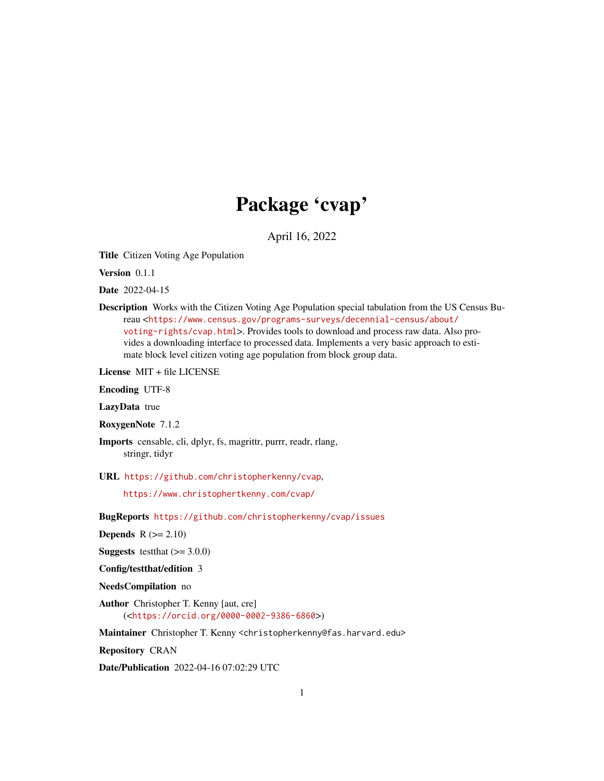# Package 'cvap'

April 16, 2022

Title Citizen Voting Age Population

Version 0.1.1

Date 2022-04-15

Description Works with the Citizen Voting Age Population special tabulation from the US Census Bureau <[https://www.census.gov/programs-surveys/decennial-census/about/](https://www.census.gov/programs-surveys/decennial-census/about/voting-rights/cvap.html) [voting-rights/cvap.html](https://www.census.gov/programs-surveys/decennial-census/about/voting-rights/cvap.html)>. Provides tools to download and process raw data. Also provides a downloading interface to processed data. Implements a very basic approach to estimate block level citizen voting age population from block group data.

License MIT + file LICENSE

Encoding UTF-8

LazyData true

RoxygenNote 7.1.2

Imports censable, cli, dplyr, fs, magrittr, purrr, readr, rlang, stringr, tidyr

URL <https://github.com/christopherkenny/cvap>,

<https://www.christophertkenny.com/cvap/>

BugReports <https://github.com/christopherkenny/cvap/issues>

**Depends**  $R$  ( $>= 2.10$ )

**Suggests** testthat  $(>= 3.0.0)$ 

Config/testthat/edition 3

NeedsCompilation no

Author Christopher T. Kenny [aut, cre] (<<https://orcid.org/0000-0002-9386-6860>>)

Maintainer Christopher T. Kenny <christopherkenny@fas.harvard.edu>

Repository CRAN

Date/Publication 2022-04-16 07:02:29 UTC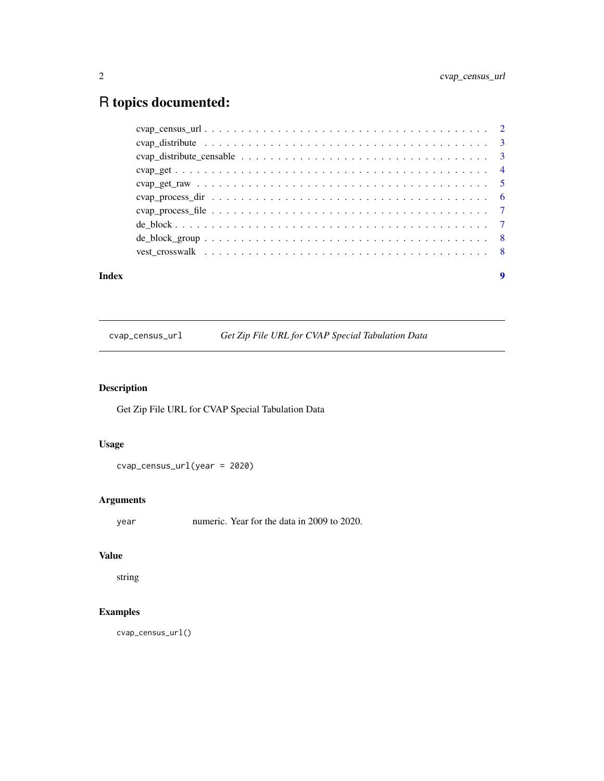# <span id="page-1-0"></span>R topics documented:

| Index | 9 |
|-------|---|
|       |   |
|       |   |
|       |   |
|       |   |
|       |   |
|       |   |
|       |   |
|       |   |
|       |   |
|       |   |

cvap\_census\_url *Get Zip File URL for CVAP Special Tabulation Data*

# Description

Get Zip File URL for CVAP Special Tabulation Data

# Usage

cvap\_census\_url(year = 2020)

# Arguments

year numeric. Year for the data in 2009 to 2020.

# Value

string

# Examples

cvap\_census\_url()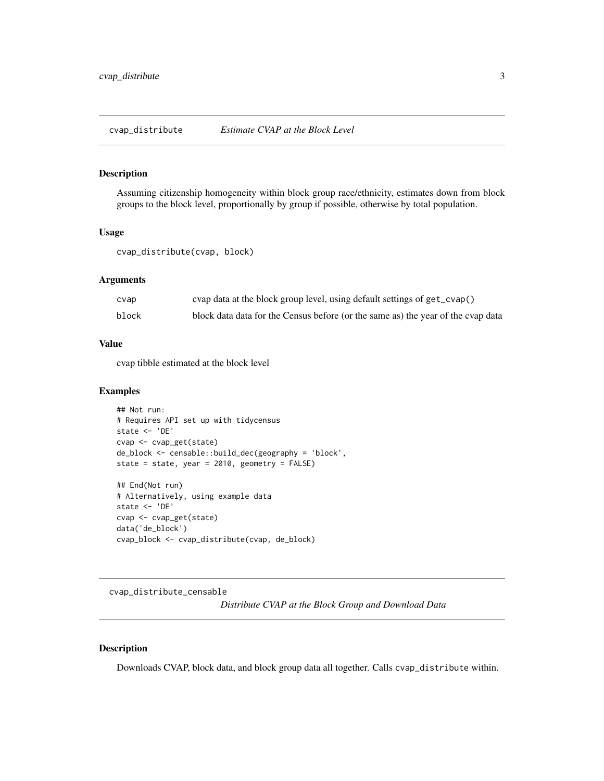### <span id="page-2-0"></span>Description

Assuming citizenship homogeneity within block group race/ethnicity, estimates down from block groups to the block level, proportionally by group if possible, otherwise by total population.

#### Usage

```
cvap_distribute(cvap, block)
```
#### Arguments

| cvap  | cvap data at the block group level, using default settings of get_cvap()         |
|-------|----------------------------------------------------------------------------------|
| block | block data data for the Census before (or the same as) the year of the cvap data |

#### Value

cvap tibble estimated at the block level

### Examples

```
## Not run:
# Requires API set up with tidycensus
state <- 'DE'
cvap <- cvap_get(state)
de_block <- censable::build_dec(geography = 'block',
state = state, year = 2010, geometry = FALSE)
## End(Not run)
# Alternatively, using example data
state <- 'DE'
cvap <- cvap_get(state)
data('de_block')
cvap_block <- cvap_distribute(cvap, de_block)
```
cvap\_distribute\_censable

*Distribute CVAP at the Block Group and Download Data*

#### Description

Downloads CVAP, block data, and block group data all together. Calls cvap\_distribute within.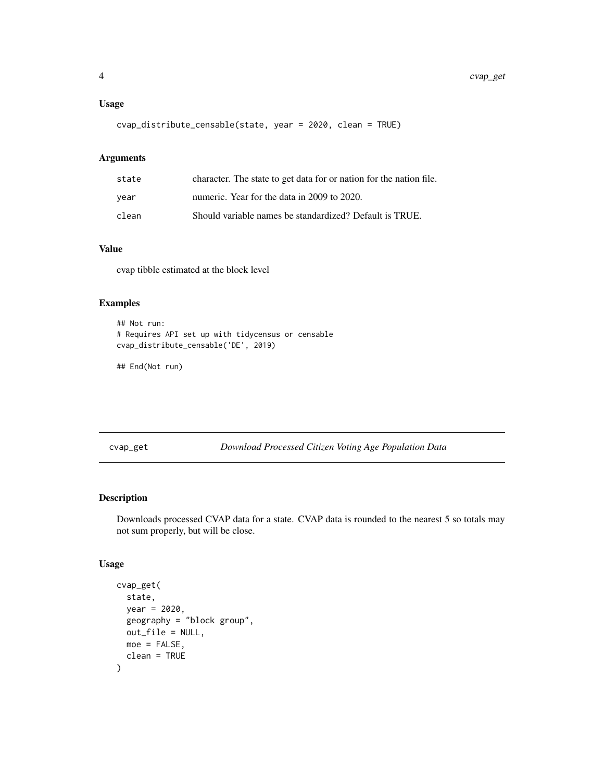### <span id="page-3-0"></span>Usage

```
cvap_distribute_censable(state, year = 2020, clean = TRUE)
```
#### Arguments

| state | character. The state to get data for or nation for the nation file. |
|-------|---------------------------------------------------------------------|
| year  | numeric. Year for the data in 2009 to 2020.                         |
| clean | Should variable names be standardized? Default is TRUE.             |

#### Value

cvap tibble estimated at the block level

# Examples

```
## Not run:
# Requires API set up with tidycensus or censable
cvap_distribute_censable('DE', 2019)
```
## End(Not run)

cvap\_get *Download Processed Citizen Voting Age Population Data*

# Description

Downloads processed CVAP data for a state. CVAP data is rounded to the nearest 5 so totals may not sum properly, but will be close.

# Usage

```
cvap_get(
  state,
  year = 2020,
 geography = "block group",
 out_file = NULL,
 moe = FALSE,
  clean = TRUE
)
```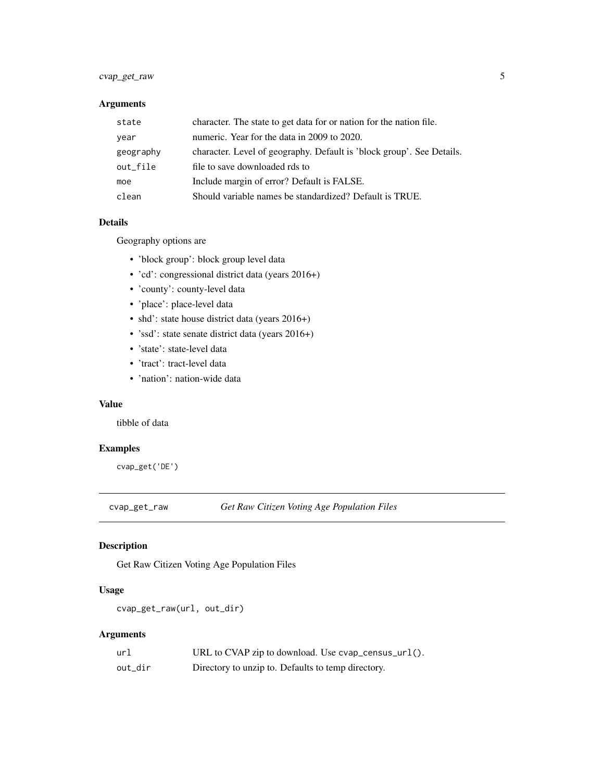# <span id="page-4-0"></span>cvap\_get\_raw 5

# Arguments

| state     | character. The state to get data for or nation for the nation file.   |
|-----------|-----------------------------------------------------------------------|
| year      | numeric. Year for the data in 2009 to 2020.                           |
| geography | character. Level of geography. Default is 'block group'. See Details. |
| out file  | file to save downloaded rds to                                        |
| moe       | Include margin of error? Default is FALSE.                            |
| clean     | Should variable names be standardized? Default is TRUE.               |

# Details

Geography options are

- 'block group': block group level data
- 'cd': congressional district data (years 2016+)
- 'county': county-level data
- 'place': place-level data
- shd': state house district data (years 2016+)
- 'ssd': state senate district data (years 2016+)
- 'state': state-level data
- 'tract': tract-level data
- 'nation': nation-wide data

#### Value

tibble of data

# Examples

cvap\_get('DE')

cvap\_get\_raw *Get Raw Citizen Voting Age Population Files*

# Description

Get Raw Citizen Voting Age Population Files

# Usage

```
cvap_get_raw(url, out_dir)
```
# Arguments

| url     | URL to CVAP zip to download. Use cvap_census_url(). |
|---------|-----------------------------------------------------|
| out dir | Directory to unzip to. Defaults to temp directory.  |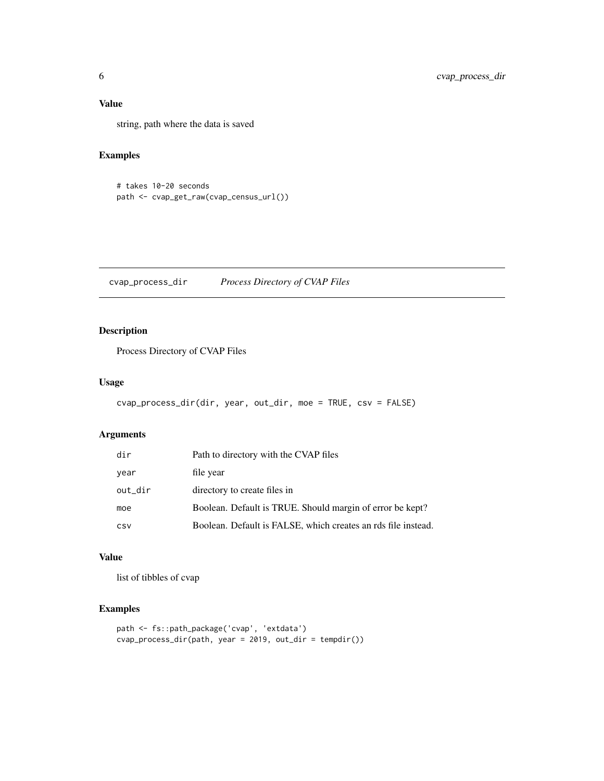# <span id="page-5-0"></span>Value

string, path where the data is saved

# Examples

```
# takes 10-20 seconds
path <- cvap_get_raw(cvap_census_url())
```
cvap\_process\_dir *Process Directory of CVAP Files*

# Description

Process Directory of CVAP Files

# Usage

```
cvap_process_dir(dir, year, out_dir, moe = TRUE, csv = FALSE)
```
#### Arguments

| dir     | Path to directory with the CVAP files                         |
|---------|---------------------------------------------------------------|
| year    | file year                                                     |
| out_dir | directory to create files in                                  |
| moe     | Boolean. Default is TRUE. Should margin of error be kept?     |
| CSV     | Boolean. Default is FALSE, which creates an rds file instead. |

#### Value

list of tibbles of cvap

#### Examples

```
path <- fs::path_package('cvap', 'extdata')
cvap_process_dir(path, year = 2019, out_dir = tempdir())
```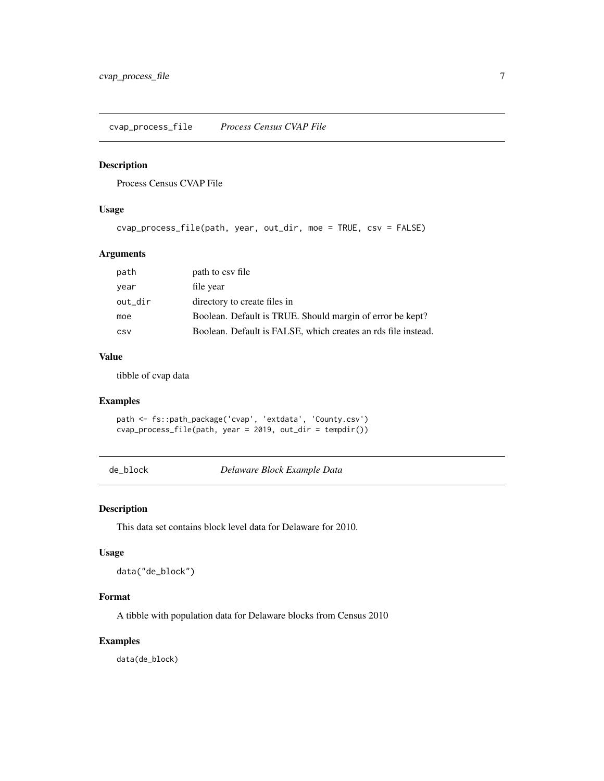<span id="page-6-0"></span>cvap\_process\_file *Process Census CVAP File*

#### Description

Process Census CVAP File

# Usage

cvap\_process\_file(path, year, out\_dir, moe = TRUE, csv = FALSE)

# Arguments

| path    | path to csy file                                              |
|---------|---------------------------------------------------------------|
| year    | file year                                                     |
| out_dir | directory to create files in                                  |
| moe     | Boolean. Default is TRUE. Should margin of error be kept?     |
| CSV     | Boolean. Default is FALSE, which creates an rds file instead. |

# Value

tibble of cvap data

# Examples

path <- fs::path\_package('cvap', 'extdata', 'County.csv') cvap\_process\_file(path, year = 2019, out\_dir = tempdir())

de\_block *Delaware Block Example Data*

#### Description

This data set contains block level data for Delaware for 2010.

# Usage

data("de\_block")

#### Format

A tibble with population data for Delaware blocks from Census 2010

#### Examples

data(de\_block)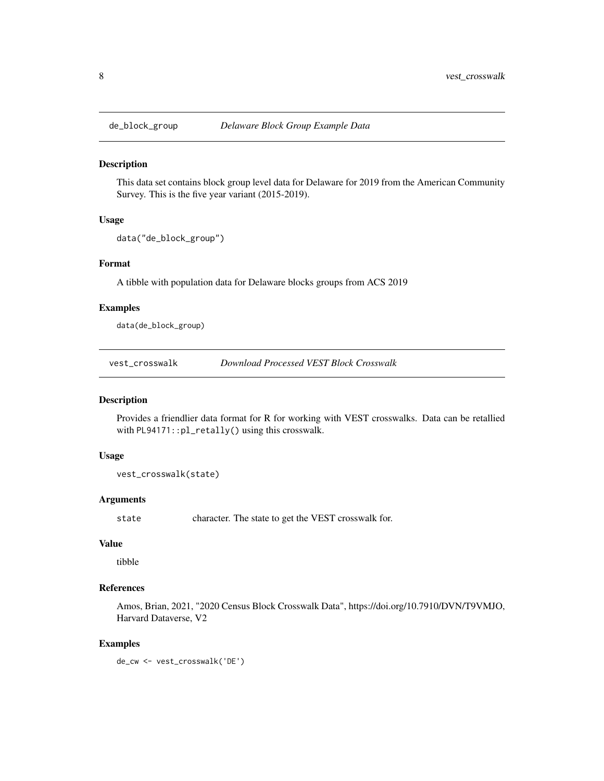<span id="page-7-0"></span>

#### Description

This data set contains block group level data for Delaware for 2019 from the American Community Survey. This is the five year variant (2015-2019).

#### Usage

```
data("de_block_group")
```
#### Format

A tibble with population data for Delaware blocks groups from ACS 2019

#### Examples

data(de\_block\_group)

vest\_crosswalk *Download Processed VEST Block Crosswalk*

#### Description

Provides a friendlier data format for R for working with VEST crosswalks. Data can be retallied with PL94171::pl\_retally() using this crosswalk.

# Usage

vest\_crosswalk(state)

#### Arguments

state character. The state to get the VEST crosswalk for.

#### Value

tibble

#### References

Amos, Brian, 2021, "2020 Census Block Crosswalk Data", https://doi.org/10.7910/DVN/T9VMJO, Harvard Dataverse, V2

#### Examples

de\_cw <- vest\_crosswalk('DE')